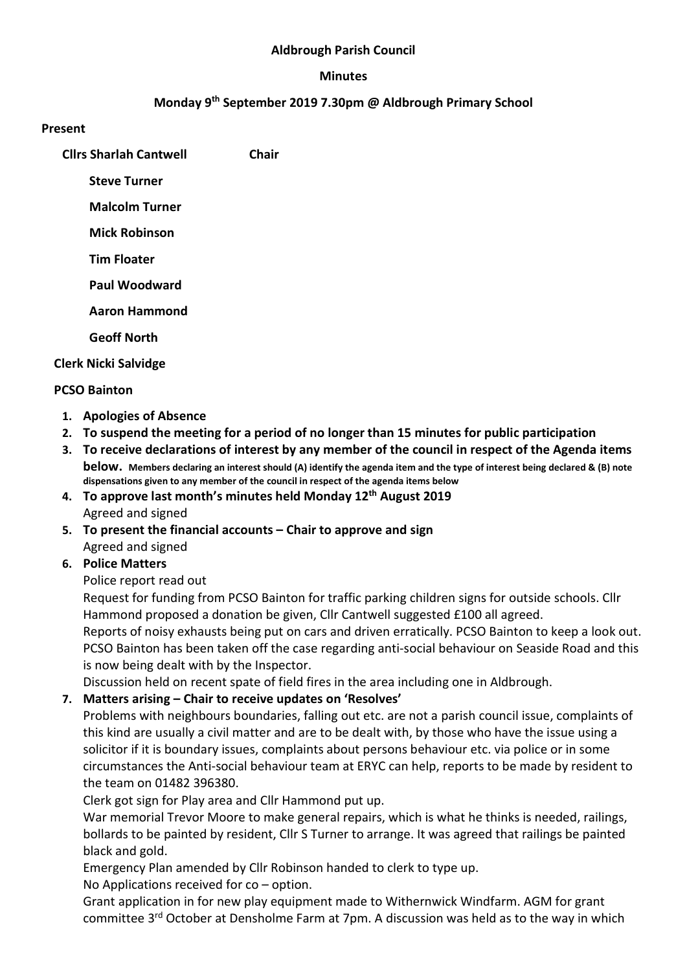## Aldbrough Parish Council

#### Minutes

## Monday 9th September 2019 7.30pm @ Aldbrough Primary School

#### Present

Cllrs Sharlah Cantwell Chair

Steve Turner

Malcolm Turner

Mick Robinson

Tim Floater

Paul Woodward

Aaron Hammond

Geoff North

Clerk Nicki Salvidge

## PCSO Bainton

- 1. Apologies of Absence
- 2. To suspend the meeting for a period of no longer than 15 minutes for public participation
- 3. To receive declarations of interest by any member of the council in respect of the Agenda items below. Members declaring an interest should (A) identify the agenda item and the type of interest being declared & (B) note dispensations given to any member of the council in respect of the agenda items below
- 4. To approve last month's minutes held Monday  $12<sup>th</sup>$  August 2019 Agreed and signed
- 5. To present the financial accounts Chair to approve and sign Agreed and signed
- 6. Police Matters

Police report read out

Request for funding from PCSO Bainton for traffic parking children signs for outside schools. Cllr Hammond proposed a donation be given, Cllr Cantwell suggested £100 all agreed.

Reports of noisy exhausts being put on cars and driven erratically. PCSO Bainton to keep a look out. PCSO Bainton has been taken off the case regarding anti-social behaviour on Seaside Road and this is now being dealt with by the Inspector.

Discussion held on recent spate of field fires in the area including one in Aldbrough.

# 7. Matters arising – Chair to receive updates on 'Resolves'

Problems with neighbours boundaries, falling out etc. are not a parish council issue, complaints of this kind are usually a civil matter and are to be dealt with, by those who have the issue using a solicitor if it is boundary issues, complaints about persons behaviour etc. via police or in some circumstances the Anti-social behaviour team at ERYC can help, reports to be made by resident to the team on 01482 396380.

Clerk got sign for Play area and Cllr Hammond put up.

War memorial Trevor Moore to make general repairs, which is what he thinks is needed, railings, bollards to be painted by resident, Cllr S Turner to arrange. It was agreed that railings be painted black and gold.

Emergency Plan amended by Cllr Robinson handed to clerk to type up.

No Applications received for co – option.

Grant application in for new play equipment made to Withernwick Windfarm. AGM for grant committee 3rd October at Densholme Farm at 7pm. A discussion was held as to the way in which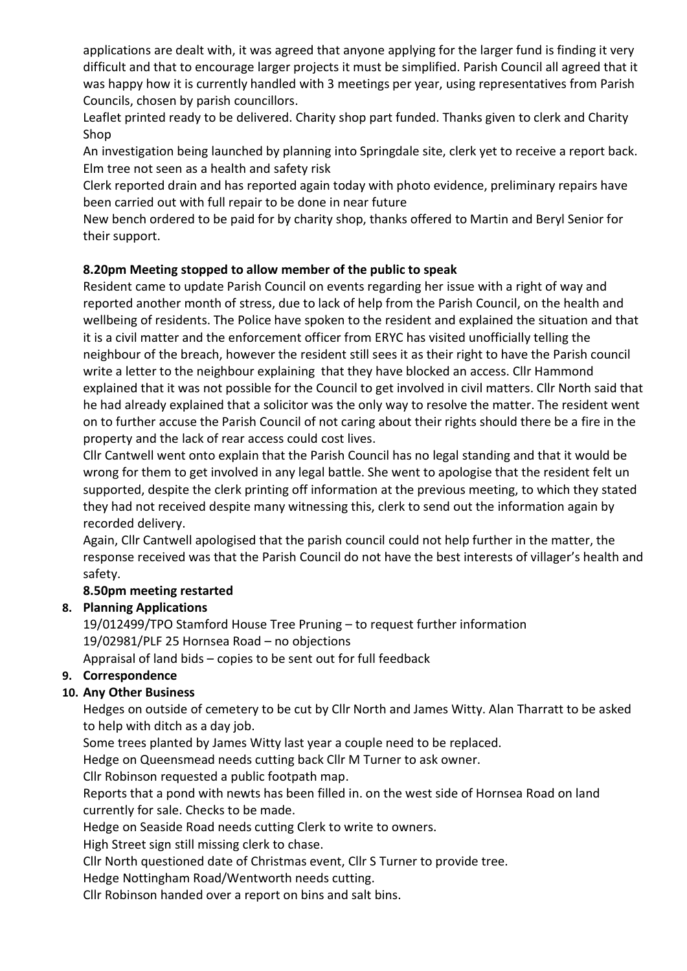applications are dealt with, it was agreed that anyone applying for the larger fund is finding it very difficult and that to encourage larger projects it must be simplified. Parish Council all agreed that it was happy how it is currently handled with 3 meetings per year, using representatives from Parish Councils, chosen by parish councillors.

Leaflet printed ready to be delivered. Charity shop part funded. Thanks given to clerk and Charity Shop

An investigation being launched by planning into Springdale site, clerk yet to receive a report back. Elm tree not seen as a health and safety risk

Clerk reported drain and has reported again today with photo evidence, preliminary repairs have been carried out with full repair to be done in near future

New bench ordered to be paid for by charity shop, thanks offered to Martin and Beryl Senior for their support.

# 8.20pm Meeting stopped to allow member of the public to speak

Resident came to update Parish Council on events regarding her issue with a right of way and reported another month of stress, due to lack of help from the Parish Council, on the health and wellbeing of residents. The Police have spoken to the resident and explained the situation and that it is a civil matter and the enforcement officer from ERYC has visited unofficially telling the neighbour of the breach, however the resident still sees it as their right to have the Parish council write a letter to the neighbour explaining that they have blocked an access. Cllr Hammond explained that it was not possible for the Council to get involved in civil matters. Cllr North said that he had already explained that a solicitor was the only way to resolve the matter. The resident went on to further accuse the Parish Council of not caring about their rights should there be a fire in the property and the lack of rear access could cost lives.

Cllr Cantwell went onto explain that the Parish Council has no legal standing and that it would be wrong for them to get involved in any legal battle. She went to apologise that the resident felt un supported, despite the clerk printing off information at the previous meeting, to which they stated they had not received despite many witnessing this, clerk to send out the information again by recorded delivery.

Again, Cllr Cantwell apologised that the parish council could not help further in the matter, the response received was that the Parish Council do not have the best interests of villager's health and safety.

# 8.50pm meeting restarted

# 8. Planning Applications

19/012499/TPO Stamford House Tree Pruning – to request further information 19/02981/PLF 25 Hornsea Road – no objections Appraisal of land bids – copies to be sent out for full feedback

# 9. Correspondence

# 10. Any Other Business

Hedges on outside of cemetery to be cut by Cllr North and James Witty. Alan Tharratt to be asked to help with ditch as a day job.

Some trees planted by James Witty last year a couple need to be replaced.

Hedge on Queensmead needs cutting back Cllr M Turner to ask owner.

Cllr Robinson requested a public footpath map.

Reports that a pond with newts has been filled in. on the west side of Hornsea Road on land currently for sale. Checks to be made.

Hedge on Seaside Road needs cutting Clerk to write to owners.

High Street sign still missing clerk to chase.

Cllr North questioned date of Christmas event, Cllr S Turner to provide tree.

Hedge Nottingham Road/Wentworth needs cutting.

Cllr Robinson handed over a report on bins and salt bins.